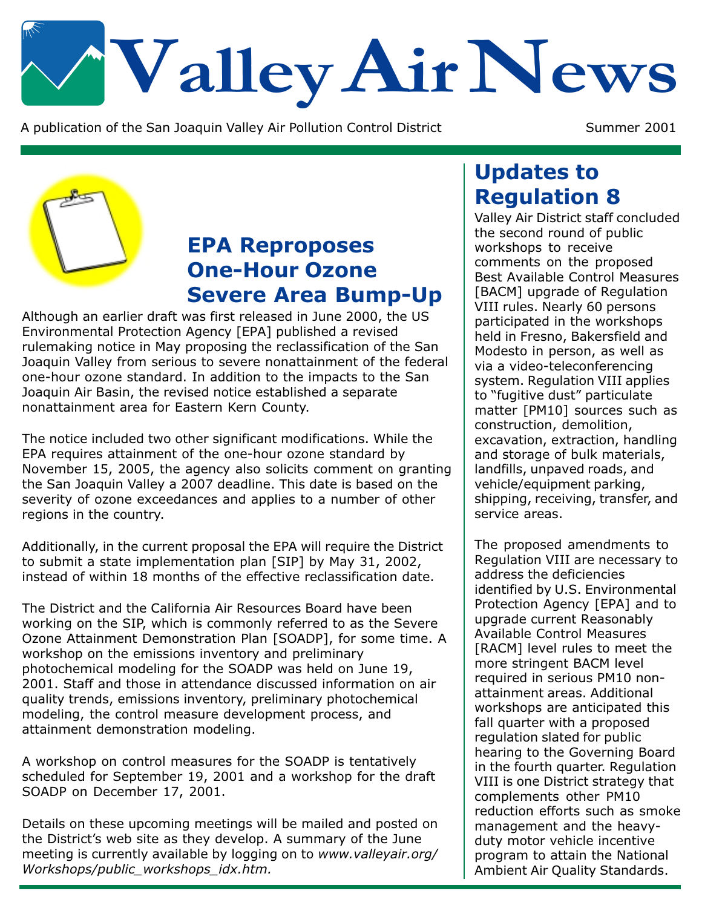# Valley Air News

A publication of the San Joaquin Valley Air Pollution Control District

Summer 2001



## **EPA Reproposes One-Hour Ozone Severe Area Bump-Up**

Although an earlier draft was first released in June 2000, the US Environmental Protection Agency [EPA] published a revised rulemaking notice in May proposing the reclassification of the San Joaquin Valley from serious to severe nonattainment of the federal one-hour ozone standard. In addition to the impacts to the San Joaquin Air Basin, the revised notice established a separate nonattainment area for Eastern Kern County.

The notice included two other significant modifications. While the EPA requires attainment of the one-hour ozone standard by November 15, 2005, the agency also solicits comment on granting the San Joaquin Valley a 2007 deadline. This date is based on the severity of ozone exceedances and applies to a number of other regions in the country.

Additionally, in the current proposal the EPA will require the District to submit a state implementation plan [SIP] by May 31, 2002, instead of within 18 months of the effective reclassification date.

The District and the California Air Resources Board have been working on the SIP, which is commonly referred to as the Severe Ozone Attainment Demonstration Plan [SOADP], for some time. A workshop on the emissions inventory and preliminary photochemical modeling for the SOADP was held on June 19, 2001. Staff and those in attendance discussed information on air quality trends, emissions inventory, preliminary photochemical modeling, the control measure development process, and attainment demonstration modeling.

A workshop on control measures for the SOADP is tentatively scheduled for September 19, 2001 and a workshop for the draft SOADP on December 17, 2001.

Details on these upcoming meetings will be mailed and posted on the District's web site as they develop. A summary of the June meeting is currently available by logging on to www.valleyair.org/ Workshops/public workshops idx.htm.

#### **Updates to Regulation 8**

Valley Air District staff concluded the second round of public workshops to receive comments on the proposed Best Available Control Measures [BACM] upgrade of Regulation VIII rules. Nearly 60 persons participated in the workshops held in Fresno, Bakersfield and Modesto in person, as well as via a video-teleconferencing system. Regulation VIII applies to "fugitive dust" particulate matter [PM10] sources such as construction, demolition, excavation, extraction, handling and storage of bulk materials, landfills, unpaved roads, and vehicle/equipment parking, shipping, receiving, transfer, and service areas.

The proposed amendments to Regulation VIII are necessary to address the deficiencies identified by U.S. Environmental Protection Agency [EPA] and to upgrade current Reasonably **Available Control Measures** [RACM] level rules to meet the more stringent BACM level required in serious PM10 nonattainment areas. Additional workshops are anticipated this fall quarter with a proposed regulation slated for public hearing to the Governing Board in the fourth quarter. Regulation VIII is one District strategy that complements other PM10 reduction efforts such as smoke management and the heavyduty motor vehicle incentive program to attain the National Ambient Air Quality Standards.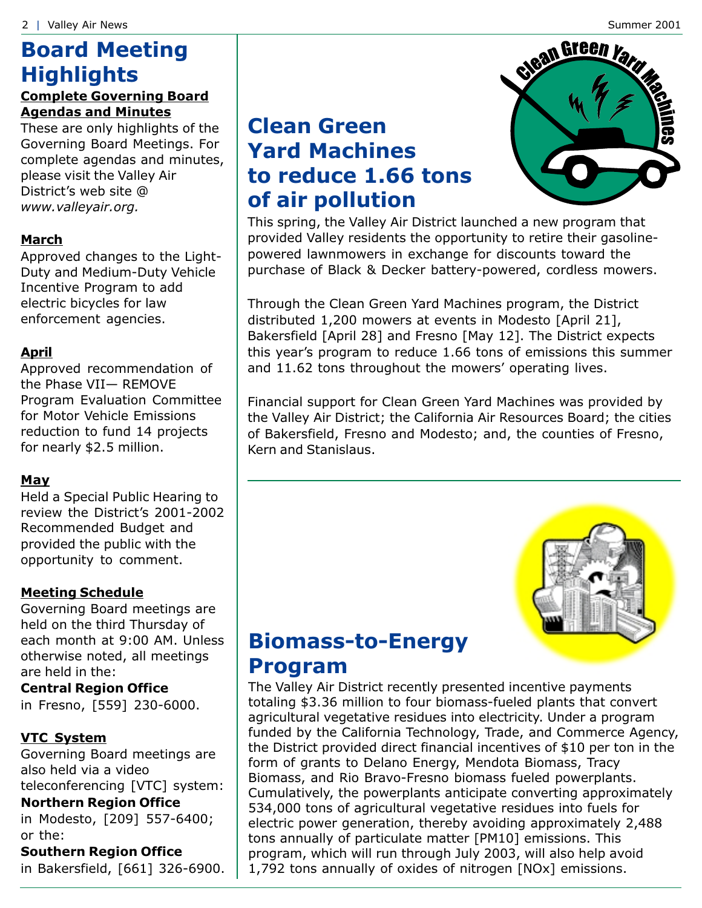## **Board Meeting Highlights**

#### **Complete Governing Board Agendas and Minutes**

These are only highlights of the Governing Board Meetings. For complete agendas and minutes, please visit the Valley Air District's web site @ www.valleyair.org.

#### **March**

Approved changes to the Light-Duty and Medium-Duty Vehicle Incentive Program to add electric bicycles for law enforcement agencies.

#### **April**

Approved recommendation of the Phase VII- REMOVE Program Evaluation Committee for Motor Vehicle Emissions reduction to fund 14 projects for nearly \$2.5 million.

#### May

Held a Special Public Hearing to review the District's 2001-2002 Recommended Budget and provided the public with the opportunity to comment.

#### **Meeting Schedule**

Governing Board meetings are held on the third Thursday of each month at 9:00 AM. Unless otherwise noted, all meetings are held in the:

#### **Central Region Office**

in Fresno, [559] 230-6000.

#### **VTC System**

Governing Board meetings are also held via a video teleconferencing [VTC] system:

#### **Northern Region Office**

in Modesto, [209] 557-6400; or the:

**Southern Region Office** in Bakersfield, [661] 326-6900.

## **Clean Green Yard Machines** to reduce 1.66 tons of air pollution



This spring, the Valley Air District launched a new program that provided Valley residents the opportunity to retire their gasolinepowered lawnmowers in exchange for discounts toward the purchase of Black & Decker battery-powered, cordless mowers.

Through the Clean Green Yard Machines program, the District distributed 1,200 mowers at events in Modesto [April 21], Bakersfield [April 28] and Fresno [May 12]. The District expects this year's program to reduce 1.66 tons of emissions this summer and 11.62 tons throughout the mowers' operating lives.

Financial support for Clean Green Yard Machines was provided by the Valley Air District; the California Air Resources Board; the cities of Bakersfield, Fresno and Modesto; and, the counties of Fresno, Kern and Stanislaus.



#### **Biomass-to-Energy Program**

The Valley Air District recently presented incentive payments totaling \$3.36 million to four biomass-fueled plants that convert agricultural vegetative residues into electricity. Under a program funded by the California Technology, Trade, and Commerce Agency, the District provided direct financial incentives of \$10 per ton in the form of grants to Delano Energy, Mendota Biomass, Tracy Biomass, and Rio Bravo-Fresno biomass fueled powerplants. Cumulatively, the powerplants anticipate converting approximately 534,000 tons of agricultural vegetative residues into fuels for electric power generation, thereby avoiding approximately 2,488 tons annually of particulate matter [PM10] emissions. This program, which will run through July 2003, will also help avoid 1,792 tons annually of oxides of nitrogen [NOx] emissions.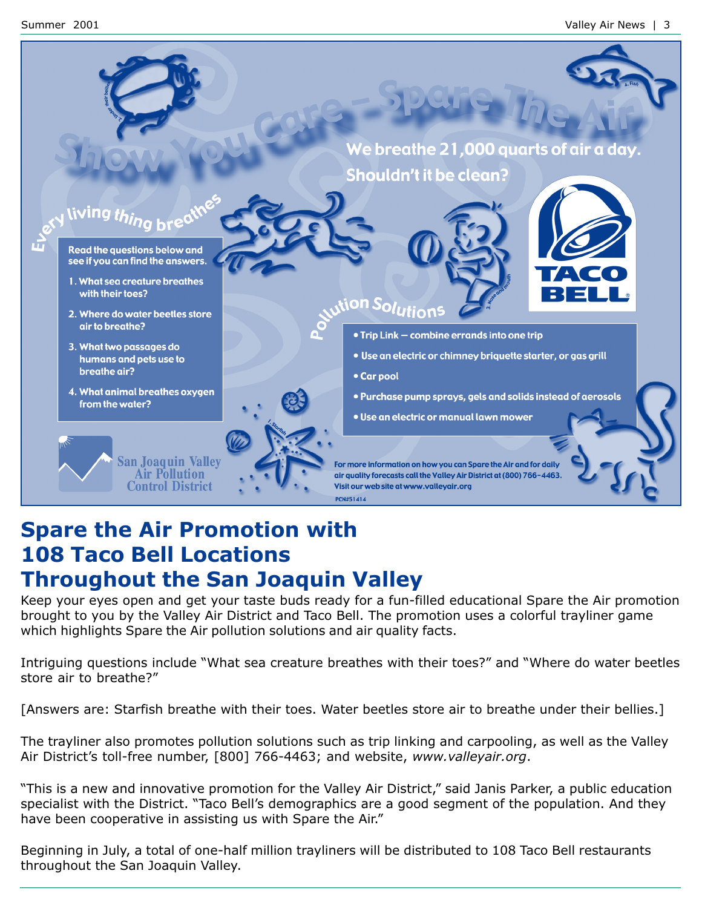

#### **Spare the Air Promotion with 108 Taco Bell Locations Throughout the San Joaquin Valley**

Keep your eyes open and get your taste buds ready for a fun-filled educational Spare the Air promotion brought to you by the Valley Air District and Taco Bell. The promotion uses a colorful trayliner game which highlights Spare the Air pollution solutions and air quality facts.

Intriguing questions include "What sea creature breathes with their toes?" and "Where do water beetles store air to breathe?"

[Answers are: Starfish breathe with their toes. Water beetles store air to breathe under their bellies.]

The trayliner also promotes pollution solutions such as trip linking and carpooling, as well as the Valley Air District's toll-free number, [800] 766-4463; and website, www.valleyair.org.

"This is a new and innovative promotion for the Valley Air District," said Janis Parker, a public education specialist with the District. "Taco Bell's demographics are a good segment of the population. And they have been cooperative in assisting us with Spare the Air."

Beginning in July, a total of one-half million trayliners will be distributed to 108 Taco Bell restaurants throughout the San Joaquin Valley.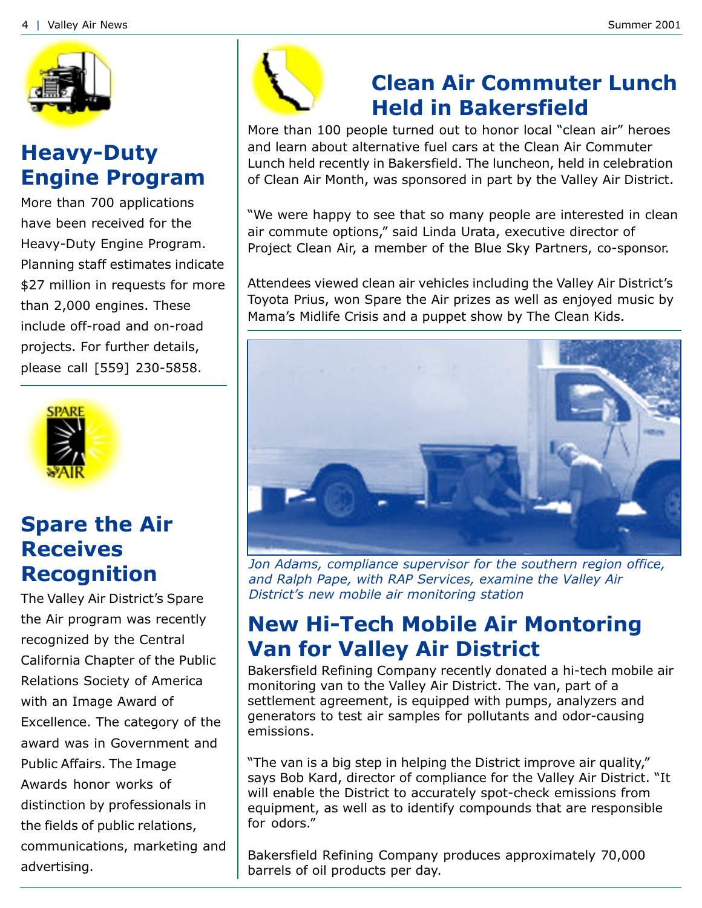

#### **Heavy-Duty Engine Program**

More than 700 applications have been received for the Heavy-Duty Engine Program. Planning staff estimates indicate \$27 million in requests for more than 2,000 engines. These include off-road and on-road projects. For further details, please call [559] 230-5858.



#### **Spare the Air Receives Recognition**

The Valley Air District's Spare the Air program was recently recognized by the Central California Chapter of the Public Relations Society of America with an Image Award of Excellence. The category of the award was in Government and Public Affairs. The Image Awards honor works of distinction by professionals in the fields of public relations, communications, marketing and advertising.



## **Clean Air Commuter Lunch Held in Bakersfield**

More than 100 people turned out to honor local "clean air" heroes and learn about alternative fuel cars at the Clean Air Commuter Lunch held recently in Bakersfield. The luncheon, held in celebration of Clean Air Month, was sponsored in part by the Valley Air District.

"We were happy to see that so many people are interested in clean air commute options," said Linda Urata, executive director of Project Clean Air, a member of the Blue Sky Partners, co-sponsor.

Attendees viewed clean air vehicles including the Valley Air District's Toyota Prius, won Spare the Air prizes as well as enjoyed music by Mama's Midlife Crisis and a puppet show by The Clean Kids.



Jon Adams, compliance supervisor for the southern region office, and Ralph Pape, with RAP Services, examine the Valley Air District's new mobile air monitoring station

### **New Hi-Tech Mobile Air Montoring Van for Valley Air District**

Bakersfield Refining Company recently donated a hi-tech mobile air monitoring van to the Valley Air District. The van, part of a settlement agreement, is equipped with pumps, analyzers and generators to test air samples for pollutants and odor-causing emissions.

"The van is a big step in helping the District improve air quality," says Bob Kard, director of compliance for the Valley Air District. "It will enable the District to accurately spot-check emissions from equipment, as well as to identify compounds that are responsible for odors."

Bakersfield Refining Company produces approximately 70,000 barrels of oil products per day.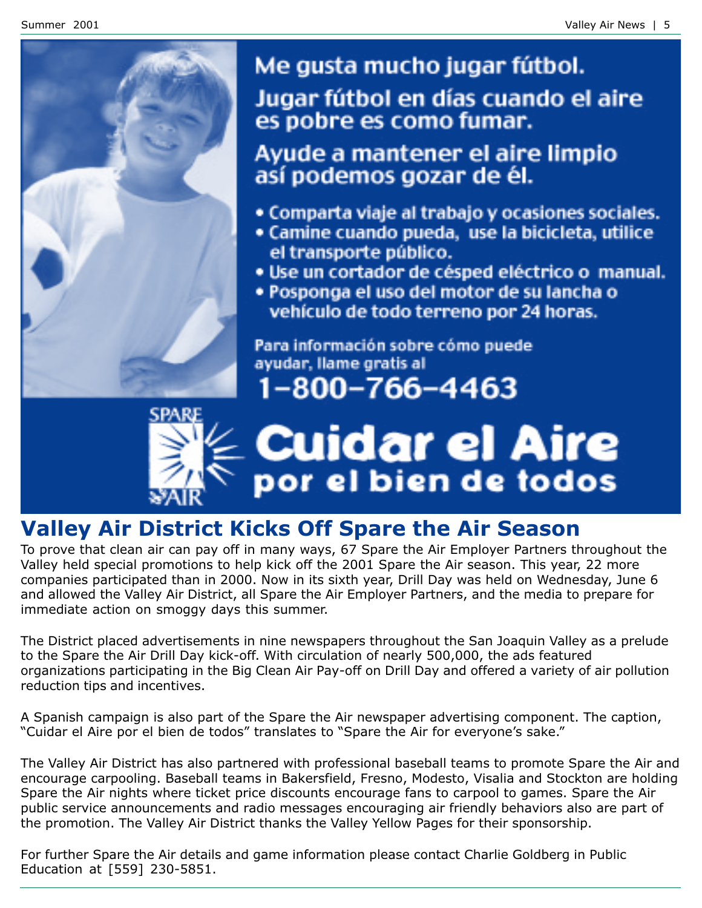

Me gusta mucho jugar fútbol. Jugar fútbol en días cuando el aire es pobre es como fumar.

Ayude a mantener el aire limpio así podemos gozar de él.

- · Comparta viaje al trabajo y ocasiones sociales.
- Camine cuando pueda, use la bicicleta, utilice el transporte público.
- · Use un cortador de césped eléctrico o manual.
- · Posponga el uso del motor de su lancha o vehículo de todo terreno por 24 horas.

Para información sobre cómo puede ayudar, llame gratis al



# **Cuidar el Aire**<br>por el bien de todos

## **Valley Air District Kicks Off Spare the Air Season**

To prove that clean air can pay off in many ways, 67 Spare the Air Employer Partners throughout the Valley held special promotions to help kick off the 2001 Spare the Air season. This year, 22 more companies participated than in 2000. Now in its sixth year, Drill Day was held on Wednesday, June 6 and allowed the Valley Air District, all Spare the Air Employer Partners, and the media to prepare for immediate action on smoggy days this summer.

The District placed advertisements in nine newspapers throughout the San Joaquin Valley as a prelude to the Spare the Air Drill Day kick-off. With circulation of nearly 500,000, the ads featured organizations participating in the Big Clean Air Pay-off on Drill Day and offered a variety of air pollution reduction tips and incentives.

A Spanish campaign is also part of the Spare the Air newspaper advertising component. The caption, "Cuidar el Aire por el bien de todos" translates to "Spare the Air for everyone's sake."

The Valley Air District has also partnered with professional baseball teams to promote Spare the Air and encourage carpooling. Baseball teams in Bakersfield, Fresno, Modesto, Visalia and Stockton are holding Spare the Air nights where ticket price discounts encourage fans to carpool to games. Spare the Air public service announcements and radio messages encouraging air friendly behaviors also are part of the promotion. The Valley Air District thanks the Valley Yellow Pages for their sponsorship.

For further Spare the Air details and game information please contact Charlie Goldberg in Public Education at [559] 230-5851.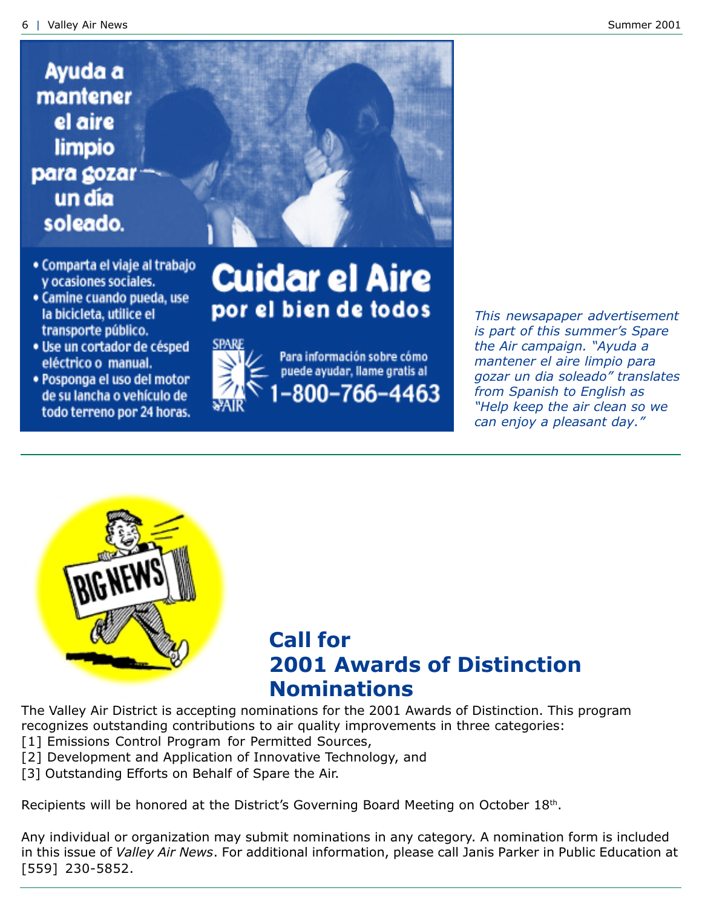## Ayuda a mantener el aire limpio para gozar un día soleado.



- Comparta el viaje al trabajo y ocasiones sociales.
- Camine cuando pueda, use la bicicleta, utilice el transporte público.
- · Use un cortador de césped eléctrico o manual.
- · Posponga el uso del motor de su lancha o vehículo de todo terreno por 24 horas.

## **Cuidar el Aire** por el bien de todos



Para información sobre cómo puede ayudar, llame gratis al 800-766-4463

This newsapaper advertisement is part of this summer's Spare the Air campaign. "Ayuda a mantener el aire limpio para gozar un dia soleado" translates from Spanish to English as "Help keep the air clean so we can enjoy a pleasant day."



### **Call for 2001 Awards of Distinction Nominations**

The Valley Air District is accepting nominations for the 2001 Awards of Distinction. This program recognizes outstanding contributions to air quality improvements in three categories:

- [1] Emissions Control Program for Permitted Sources,
- [2] Development and Application of Innovative Technology, and
- [3] Outstanding Efforts on Behalf of Spare the Air.

Recipients will be honored at the District's Governing Board Meeting on October 18th.

Any individual or organization may submit nominations in any category. A nomination form is included in this issue of Valley Air News. For additional information, please call Janis Parker in Public Education at [559] 230-5852.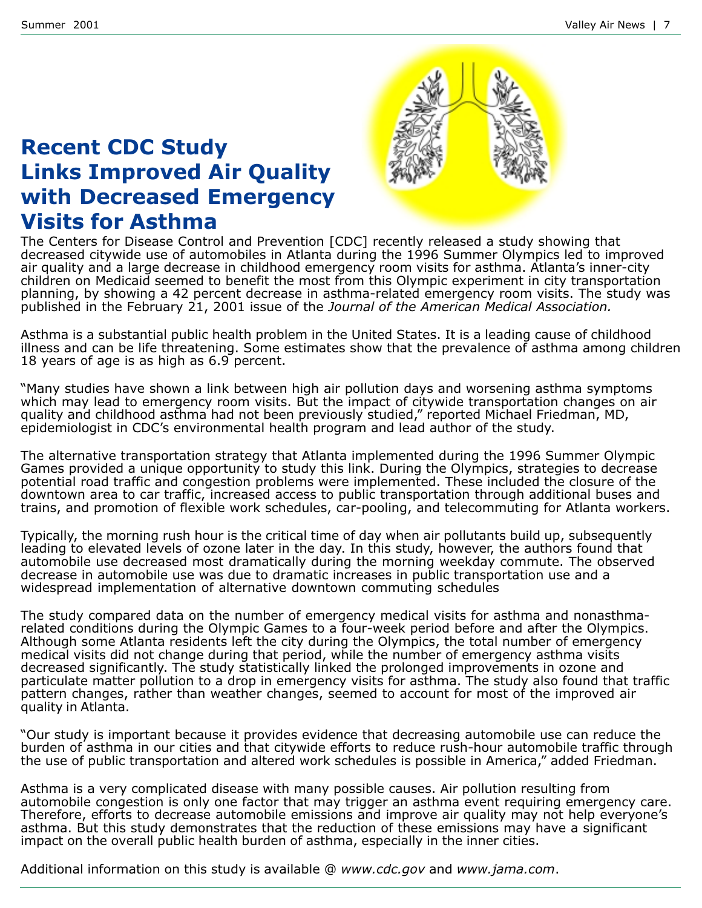#### **Recent CDC Study Links Improved Air Quality** with Decreased Emergency **Visits for Asthma**



The Centers for Disease Control and Prevention [CDC] recently released a study showing that decreased citywide use of automobiles in Atlanta during the 1996 Summer Olympics led to improved air quality and a large decrease in childhood emergency room visits for asthma. Atlanta's inner-city children on Medicaid seemed to benefit the most from this Olympic experiment in city transportation planning, by showing a 42 percent decrease in asthma-related emergency room visits. The study was published in the February 21, 2001 issue of the Journal of the American Medical Association.

Asthma is a substantial public health problem in the United States. It is a leading cause of childhood illness and can be life threatening. Some estimates show that the prevalence of asthma among children 18 years of age is as high as 6.9 percent.

"Many studies have shown a link between high air pollution days and worsening asthma symptoms which may lead to emergency room visits. But the impact of citywide transportation changes on air quality and childhood asthma had not been previously studied," reported Michael Friedman, MD, epidemiologist in CDC's environmental health program and lead author of the study.

The alternative transportation strategy that Atlanta implemented during the 1996 Summer Olympic Games provided a unique opportunity to study this link. During the Olympics, strategies to decrease potential road traffic and congestion problems were implemented. These included the closure of the downtown area to car traffic, increased access to public transportation through additional buses and trains, and promotion of flexible work schedules, car-pooling, and telecommuting for Atlanta workers.

Typically, the morning rush hour is the critical time of day when air pollutants build up, subsequently leading to elevated levels of ozone later in the day. In this study, however, the authors found that automobile use decreased most dramatically during the morning weekday commute. The observed decrease in automobile use was due to dramatic increases in public transportation use and a widespread implementation of alternative downtown commuting schedules

The study compared data on the number of emergency medical visits for asthma and nonasthmarelated conditions during the Olympic Games to a four-week period before and after the Olympics. Although some Atlanta residents left the city during the Olympics, the total number of emergency medical visits did not change during that period, while the number of emergency asthma visits decreased significantly. The study statistically linked the prolonged improvements in ozone and particulate matter pollution to a drop in emergency visits for asthma. The study also found that traffic pattern changes, rather than weather changes, seemed to account for most of the improved air quality in Atlanta.

Our study is important because it provides evidence that decreasing automobile use can reduce the" burden of asthma in our cities and that citywide efforts to reduce rush-hour automobile traffic through the use of public transportation and altered work schedules is possible in America," added Friedman.

Asthma is a very complicated disease with many possible causes. Air pollution resulting from automobile congestion is only one factor that may trigger an asthma event requiring emergency care. Therefore, efforts to decrease automobile emissions and improve air quality may not help everyone's asthma. But this study demonstrates that the reduction of these emissions may have a significant impact on the overall public health burden of asthma, especially in the inner cities.

Additional information on this study is available @ www.cdc.gov and www.jama.com.